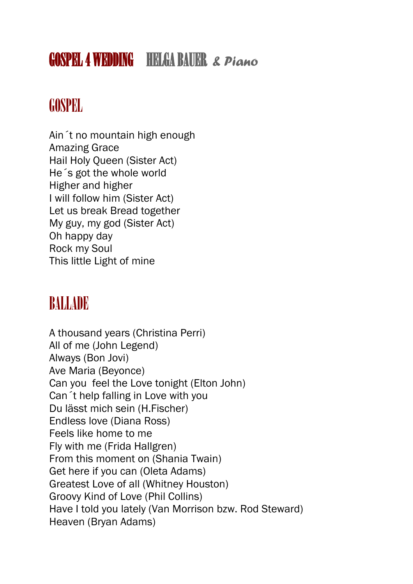# GOSPEL 4 WEDDING HELGA BAUER & Piano

## GOSPEL

Ain´t no mountain high enough Amazing Grace Hail Holy Queen (Sister Act) He´s got the whole world Higher and higher I will follow him (Sister Act) Let us break Bread together My guy, my god (Sister Act) Oh happy day Rock my Soul This little Light of mine

## BALLADE

A thousand years (Christina Perri) All of me (John Legend) Always (Bon Jovi) Ave Maria (Beyonce) Can you feel the Love tonight (Elton John) Can´t help falling in Love with you Du lässt mich sein (H.Fischer) Endless love (Diana Ross) Feels like home to me Fly with me (Frida Hallgren) From this moment on (Shania Twain) Get here if you can (Oleta Adams) Greatest Love of all (Whitney Houston) Groovy Kind of Love (Phil Collins) Have I told you lately (Van Morrison bzw. Rod Steward) Heaven (Bryan Adams)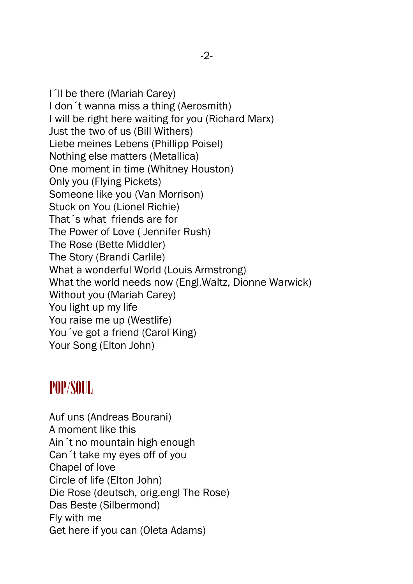I´ll be there (Mariah Carey) I don´t wanna miss a thing (Aerosmith) I will be right here waiting for you (Richard Marx) Just the two of us (Bill Withers) Liebe meines Lebens (Phillipp Poisel) Nothing else matters (Metallica) One moment in time (Whitney Houston) Only you (Flying Pickets) Someone like you (Van Morrison) Stuck on You (Lionel Richie) That´s what friends are for The Power of Love ( Jennifer Rush) The Rose (Bette Middler) The Story (Brandi Carlile) What a wonderful World (Louis Armstrong) What the world needs now (Engl.Waltz, Dionne Warwick) Without you (Mariah Carey) You light up my life You raise me up (Westlife) You´ve got a friend (Carol King) Your Song (Elton John)

#### POP/SOUL

Auf uns (Andreas Bourani) A moment like this Ain´t no mountain high enough Can´t take my eyes off of you Chapel of love Circle of life (Elton John) Die Rose (deutsch, orig.engl The Rose) Das Beste (Silbermond) Fly with me Get here if you can (Oleta Adams)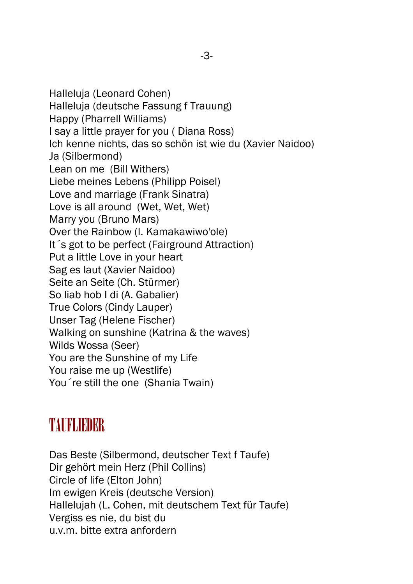Halleluja (Leonard Cohen) Halleluja (deutsche Fassung f Trauung) Happy (Pharrell Williams) I say a little prayer for you ( Diana Ross) Ich kenne nichts, das so schön ist wie du (Xavier Naidoo) Ja (Silbermond) Lean on me (Bill Withers) Liebe meines Lebens (Philipp Poisel) Love and marriage (Frank Sinatra) Love is all around (Wet, Wet, Wet) Marry you (Bruno Mars) Over the Rainbow (I. Kamakawiwo'ole) It´s got to be perfect (Fairground Attraction) Put a little Love in your heart Sag es laut (Xavier Naidoo) Seite an Seite (Ch. Stürmer) So liab hob I di (A. Gabalier) True Colors (Cindy Lauper) Unser Tag (Helene Fischer) Walking on sunshine (Katrina & the waves) Wilds Wossa (Seer) You are the Sunshine of my Life You raise me up (Westlife) You´re still the one (Shania Twain)

### TAURLIEDER

Das Beste (Silbermond, deutscher Text f Taufe) Dir gehört mein Herz (Phil Collins) Circle of life (Elton John) Im ewigen Kreis (deutsche Version) Hallelujah (L. Cohen, mit deutschem Text für Taufe) Vergiss es nie, du bist du u.v.m. bitte extra anfordern